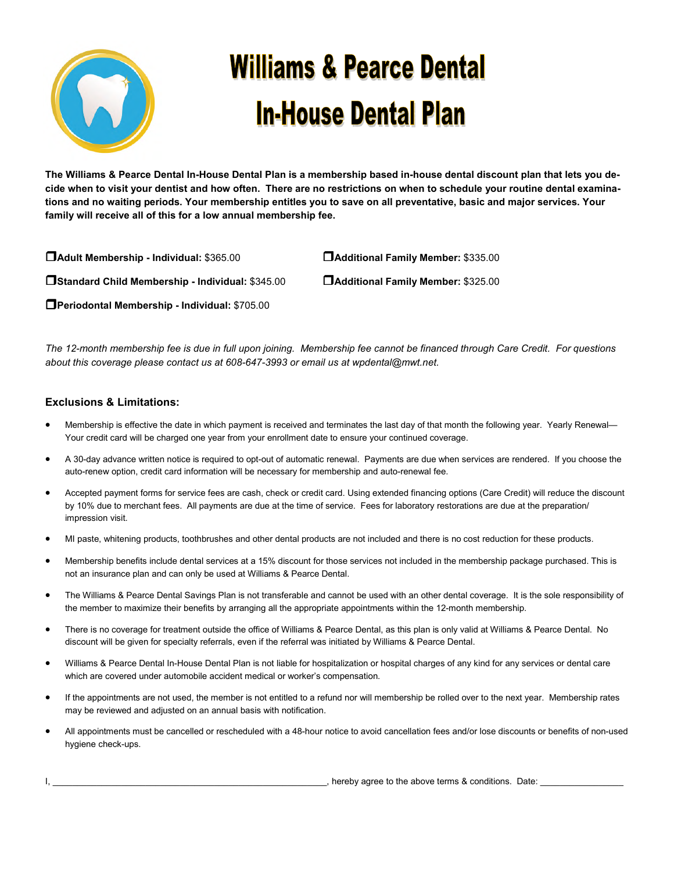

## **Williams & Pearce Dental In-House Dental Plan**

**The Williams & Pearce Dental In-House Dental Plan is a membership based in-house dental discount plan that lets you decide when to visit your dentist and how often. There are no restrictions on when to schedule your routine dental examinations and no waiting periods. Your membership entitles you to save on all preventative, basic and major services. Your family will receive all of this for a low annual membership fee.** 

-**Adult Membership - Individual:** \$365.00 -**Additional Family Member:** \$335.00 -**Standard Child Membership - Individual:** \$345.00 -**Additional Family Member:** \$325.00 -**Periodontal Membership - Individual:** \$705.00

*The 12-month membership fee is due in full upon joining. Membership fee cannot be financed through Care Credit. For questions about this coverage please contact us at 608-647-3993 or email us at wpdental@mwt.net.* 

## **Exclusions & Limitations:**

- Membership is effective the date in which payment is received and terminates the last day of that month the following year. Yearly Renewal— Your credit card will be charged one year from your enrollment date to ensure your continued coverage.
- A 30-day advance written notice is required to opt-out of automatic renewal. Payments are due when services are rendered. If you choose the auto-renew option, credit card information will be necessary for membership and auto-renewal fee.
- Accepted payment forms for service fees are cash, check or credit card. Using extended financing options (Care Credit) will reduce the discount by 10% due to merchant fees. All payments are due at the time of service. Fees for laboratory restorations are due at the preparation/ impression visit.
- MI paste, whitening products, toothbrushes and other dental products are not included and there is no cost reduction for these products.
- Membership benefits include dental services at a 15% discount for those services not included in the membership package purchased. This is not an insurance plan and can only be used at Williams & Pearce Dental.
- The Williams & Pearce Dental Savings Plan is not transferable and cannot be used with an other dental coverage. It is the sole responsibility of the member to maximize their benefits by arranging all the appropriate appointments within the 12-month membership.
- There is no coverage for treatment outside the office of Williams & Pearce Dental, as this plan is only valid at Williams & Pearce Dental. No discount will be given for specialty referrals, even if the referral was initiated by Williams & Pearce Dental.
- Williams & Pearce Dental In-House Dental Plan is not liable for hospitalization or hospital charges of any kind for any services or dental care which are covered under automobile accident medical or worker's compensation.
- If the appointments are not used, the member is not entitled to a refund nor will membership be rolled over to the next year. Membership rates may be reviewed and adjusted on an annual basis with notification.
- All appointments must be cancelled or rescheduled with a 48-hour notice to avoid cancellation fees and/or lose discounts or benefits of non-used hygiene check-ups.

I, \_\_\_\_\_\_\_\_\_\_\_\_\_\_\_\_\_\_\_\_\_\_\_\_\_\_\_\_\_\_\_\_\_\_\_\_\_\_\_\_\_\_\_\_\_\_\_\_\_\_\_\_\_\_\_\_, hereby agree to the above terms & conditions. Date: \_\_\_\_\_\_\_\_\_\_\_\_\_\_\_\_\_